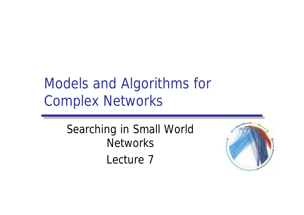## Models and Algorithms for Complex Networks

Searching in Small World **Networks** Lecture 7

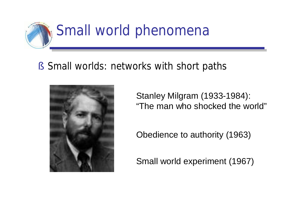

## § Small worlds: networks with short paths



Stanley Milgram (1933-1984): "The man who shocked the world"

Obedience to authority (1963)

Small world experiment (1967)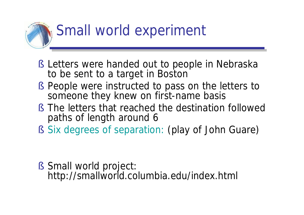

- § Letters were handed out to people in Nebraska to be sent to a target in Boston
- § People were instructed to pass on the letters to someone they knew on first-name basis
- § The letters that reached the destination followed paths of length around 6
- § Six degrees of separation: (play of John Guare)

§ Small world project: <http://smallworld.columbia.edu/index.html>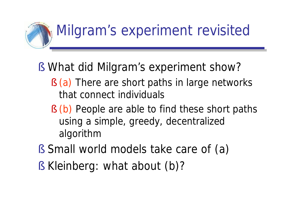

- § What did Milgram's experiment show?
	- § (a) There are short paths in large networks that connect individuals
	- § (b) People are able to find these short paths using a simple, greedy, decentralized algorithm
- § Small world models take care of (a)
- § Kleinberg: what about (b)?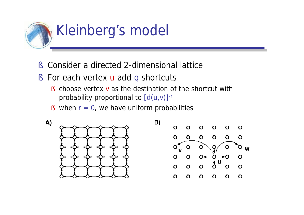

- § Consider a directed 2-dimensional lattice
- § For each vertex **u** add q shortcuts
	- § choose vertex v as the destination of the shortcut with probability proportional to  $[d(u,v)]$ <sup>-r</sup>
	- § when  $r = 0$ , we have uniform probabilities

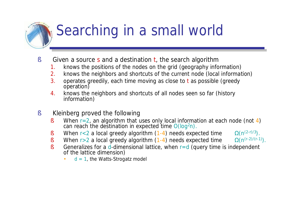## Searching in a small world

- § Given a source s and a destination t, the search algorithm
	- 1. knows the positions of the nodes on the grid (geography information)
	- 2. knows the neighbors and shortcuts of the current node (local information)
	- 3. operates greedily, each time moving as close to t as possible (greedy operation)
	- 4. knows the neighbors and shortcuts of all nodes seen so far (history information)
- § Kleinberg proved the following
	- § When  $r=2$ , an algorithm that uses only local information at each node (not 4) can reach the destination in expected time  $O(log^2 n)$ .
	- § When r<2 a local greedy algorithm  $(1-4)$  needs expected time  $\Omega(n^{(2-r)/3})$ .
	- § When  $r>2$  a local greedy algorithm (1-4) needs expected time  $\Omega(n^{(r-2)/(r-1)})$ .

- § Generalizes for a d-dimensional lattice, when  $r=d$  (query time is independent of the lattice dimension)
	- $d = 1$ , the Watts-Strogatz model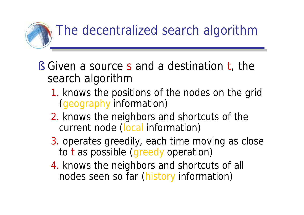

- § Given a source s and a destination t, the search algorithm
	- 1. knows the positions of the nodes on the grid (geography information)
	- 2. knows the neighbors and shortcuts of the current node (local information)
	- 3. operates greedily, each time moving as close to t as possible (greedy operation)
	- 4. knows the neighbors and shortcuts of all nodes seen so far (history information)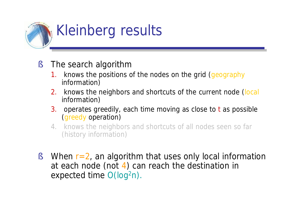

- § The search algorithm
	- 1. knows the positions of the nodes on the grid (geography information)
	- 2. knows the neighbors and shortcuts of the current node (local information)
	- 3. operates greedily, each time moving as close to t as possible (greedy operation)
	- 4. knows the neighbors and shortcuts of all nodes seen so far (history information)
- § When  $r=2$ , an algorithm that uses only local information at each node (not 4) can reach the destination in expected time O(log<sup>2</sup>n).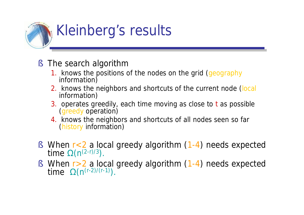

- § The search algorithm
	- 1. knows the positions of the nodes on the grid (geography information)
	- 2. knows the neighbors and shortcuts of the current node (local information)
	- 3. operates greedily, each time moving as close to t as possible (greedy operation)
	- 4. knows the neighbors and shortcuts of all nodes seen so far (history information)
- § When r<2 a local greedy algorithm (1-4) needs expected time  $\Omega(n^{(2-r)/3})$ .
- § When r>2 a local greedy algorithm (1-4) needs expected time  $\Omega(n^{(r-2)/(r-1)})$ .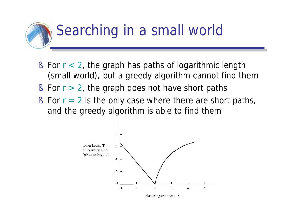## Searching in a small world

- § For  $r < 2$ , the graph has paths of logarithmic length (small world), but a greedy algorithm cannot find them
- § For  $r > 2$ , the graph does not have short paths
- § For  $r = 2$  is the only case where there are short paths, and the greedy algorithm is able to find them

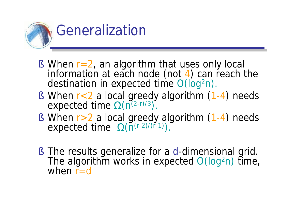

- § When  $r=2$ , an algorithm that uses only local information at each node (not 4) can reach the destination in expected time  $O(log^2 n)$ .
- § When r<2 a local greedy algorithm (1-4) needs expected time  $\Omega(n^{(2-r)/3})$ .
- § When r>2 a local greedy algorithm (1-4) needs expected time  $\Omega(\Pi^{(r-2)/(r-1)})$ .
- § The results generalize for a d-dimensional grid. The algorithm works in expected  $O(log^2 n)$  time, when  $r = d$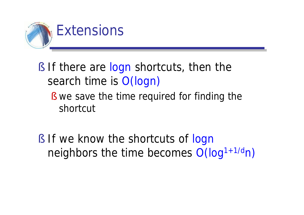

- § If there are logn shortcuts, then the search time is O(logn)
	- § we save the time required for finding the shortcut
- § If we know the shortcuts of logn neighbors the time becomes  $O(log^{1+1/d}n)$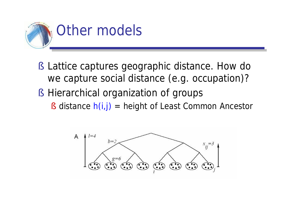

- § Lattice captures geographic distance. How do we capture social distance (e.g. occupation)?
- § Hierarchical organization of groups
	- § distance  $h(i,j)$  = height of Least Common Ancestor

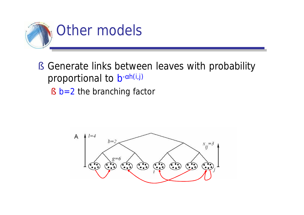

§ Generate links between leaves with probability proportional to b-ah(i,j) § **b**=2 the branching factor

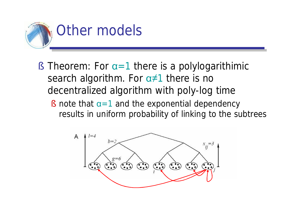

- § Theorem: For  $\alpha=1$  there is a polylogarithimic search algorithm. For  $\alpha \neq 1$  there is no decentralized algorithm with poly-log time
	- § note that  $\alpha=1$  and the exponential dependency results in uniform probability of linking to the subtrees

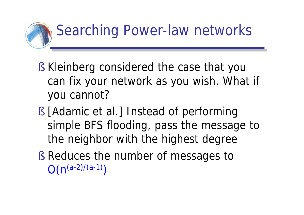

- § Kleinberg considered the case that you can fix your network as you wish. What if you cannot?
- § [Adamic et al.] Instead of performing simple BFS flooding, pass the message to the neighbor with the highest degree
- § Reduces the number of messages to  $O(n^{(a-2)/(a-1)})$